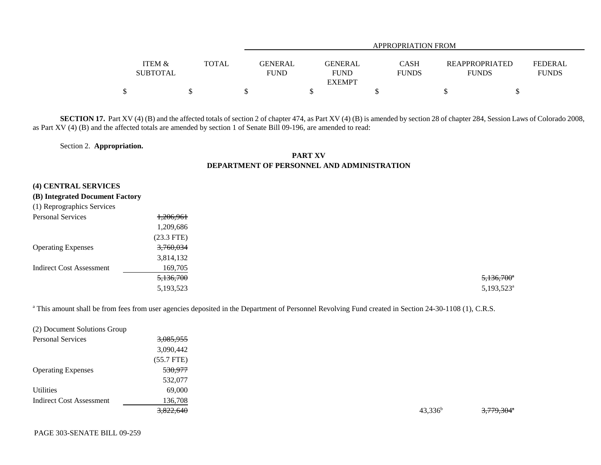|                                      |              |                        | APPROPRIATION FROM                      |                             |                                       |                                |  |
|--------------------------------------|--------------|------------------------|-----------------------------------------|-----------------------------|---------------------------------------|--------------------------------|--|
| <b>ITEM &amp;</b><br><b>SUBTOTAL</b> | <b>TOTAL</b> | GENERAL<br><b>FUND</b> | GENERAL<br><b>FUND</b><br><b>EXEMPT</b> | <b>CASH</b><br><b>FUNDS</b> | <b>REAPPROPRIATED</b><br><b>FUNDS</b> | <b>FEDERAL</b><br><b>FUNDS</b> |  |
| \$                                   |              |                        |                                         |                             |                                       |                                |  |

**SECTION 17.** Part XV (4) (B) and the affected totals of section 2 of chapter 474, as Part XV (4) (B) is amended by section 28 of chapter 284, Session Laws of Colorado 2008, as Part XV (4) (B) and the affected totals are amended by section 1 of Senate Bill 09-196, are amended to read:

## Section 2. **Appropriation.**

## **PART XVDEPARTMENT OF PERSONNEL AND ADMINISTRATION**

## **(4) CENTRAL SERVICES**

## **(B) Integrated Document Factory**

| Personal Services               | 1,206,961    |                        |
|---------------------------------|--------------|------------------------|
|                                 | 1,209,686    |                        |
|                                 | $(23.3$ FTE) |                        |
| <b>Operating Expenses</b>       | 3,760,034    |                        |
|                                 | 3,814,132    |                        |
| <b>Indirect Cost Assessment</b> | 169,705      |                        |
|                                 | 5,136,700    | 5,136,700              |
|                                 | 5,193,523    | 5,193,523 <sup>a</sup> |
|                                 |              |                        |

<sup>a</sup> This amount shall be from fees from user agencies deposited in the Department of Personnel Revolving Fund created in Section 24-30-1108 (1), C.R.S.

| (2) Document Solutions Group    |              |            |                        |
|---------------------------------|--------------|------------|------------------------|
| <b>Personal Services</b>        | 3,085,955    |            |                        |
|                                 | 3,090,442    |            |                        |
|                                 | $(55.7$ FTE) |            |                        |
| <b>Operating Expenses</b>       | 530,977      |            |                        |
|                                 | 532,077      |            |                        |
| <b>Utilities</b>                | 69,000       |            |                        |
| <b>Indirect Cost Assessment</b> | 136,708      |            |                        |
|                                 | 3,822,640    | $43,336^b$ | 3,779,304 <sup>*</sup> |